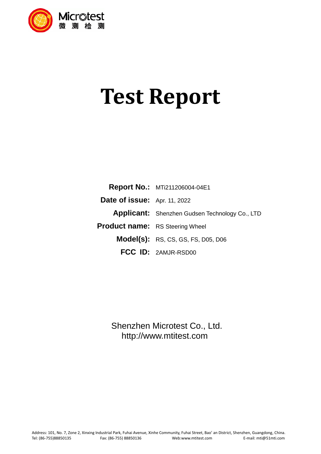

# **Test Report**

|                                        | <b>Report No.: MTi211206004-04E1</b>                  |
|----------------------------------------|-------------------------------------------------------|
| <b>Date of issue:</b> Apr. 11, 2022    |                                                       |
|                                        | <b>Applicant:</b> Shenzhen Gudsen Technology Co., LTD |
| <b>Product name:</b> RS Steering Wheel |                                                       |
|                                        | <b>Model(s):</b> RS, CS, GS, FS, D05, D06             |
|                                        | FCC ID: 2AMJR-RSD00                                   |

 Shenzhen Microtest Co., Ltd. [http://www.mtitest.com](http://www.mtitest.com/)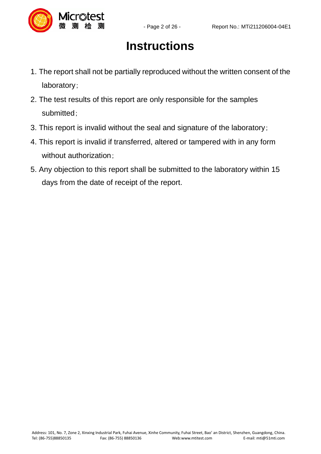

# **Instructions**

- 1. The report shall not be partially reproduced without the written consent of the laboratory;
- 2. The test results of this report are only responsible for the samples submitted;
- 3. This report is invalid without the seal and signature of the laboratory;
- 4. This report is invalid if transferred, altered or tampered with in any form without authorization;
- 5. Any objection to this report shall be submitted to the laboratory within 15 days from the date of receipt of the report.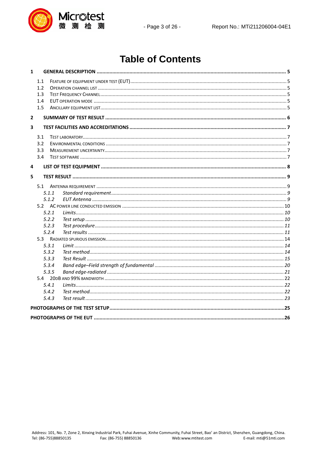

## **Table of Contents**

| $\mathbf{1}$            |       |  |
|-------------------------|-------|--|
|                         | 1.1   |  |
|                         | 1.2   |  |
|                         | 1.3   |  |
|                         | 1.4   |  |
|                         | 1.5   |  |
| $\overline{2}$          |       |  |
| 3                       |       |  |
|                         | 3.1   |  |
|                         | 3.2   |  |
|                         | 3.3   |  |
|                         | 3.4   |  |
| $\overline{\mathbf{4}}$ |       |  |
|                         |       |  |
| 5                       |       |  |
|                         | 5.1   |  |
|                         | 5.1.1 |  |
|                         | 5.1.2 |  |
|                         |       |  |
|                         | 5.2.1 |  |
|                         | 5.2.2 |  |
|                         | 5.2.3 |  |
|                         | 5.2.4 |  |
|                         |       |  |
|                         | 5.3.1 |  |
|                         | 5.3.2 |  |
|                         | 5.3.3 |  |
|                         | 5.3.4 |  |
|                         | 5.3.5 |  |
|                         | 5.4   |  |
|                         | 5.4.1 |  |
|                         | 5.4.2 |  |
|                         | 5.4.3 |  |
|                         |       |  |
|                         |       |  |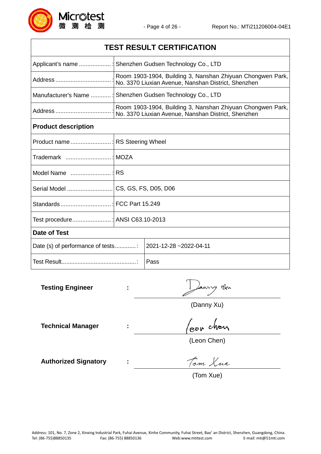Ξ



| <b>TEST RESULT CERTIFICATION</b>                          |                        |                                                                                                                   |  |  |
|-----------------------------------------------------------|------------------------|-------------------------------------------------------------------------------------------------------------------|--|--|
| Applicant's name                                          |                        | Shenzhen Gudsen Technology Co., LTD                                                                               |  |  |
|                                                           |                        | Room 1903-1904, Building 3, Nanshan Zhiyuan Chongwen Park,<br>No. 3370 Liuxian Avenue, Nanshan District, Shenzhen |  |  |
| Manufacturer's Name                                       |                        | Shenzhen Gudsen Technology Co., LTD                                                                               |  |  |
| Address                                                   |                        | Room 1903-1904, Building 3, Nanshan Zhiyuan Chongwen Park,<br>No. 3370 Liuxian Avenue, Nanshan District, Shenzhen |  |  |
| <b>Product description</b>                                |                        |                                                                                                                   |  |  |
| Product name                                              | : RS Steering Wheel    |                                                                                                                   |  |  |
| Trademark                                                 | <b>MOZA</b>            |                                                                                                                   |  |  |
| Model Name                                                | <b>RS</b>              |                                                                                                                   |  |  |
| Serial Model                                              |                        | CS, GS, FS, D05, D06                                                                                              |  |  |
| Standards                                                 | <b>FCC Part 15.249</b> |                                                                                                                   |  |  |
| Test procedure                                            | $:$ ANSI C63.10-2013   |                                                                                                                   |  |  |
| Date of Test                                              |                        |                                                                                                                   |  |  |
| 2021-12-28~2022-04-11<br>Date (s) of performance of tests |                        |                                                                                                                   |  |  |
| Pass                                                      |                        |                                                                                                                   |  |  |

**Testing Engineer :**

(Danny Xu)

**Technical Manager :**

oor chen

(Leon Chen)

**Authorized Signatory :**

Tom Lue

An

(Tom Xue)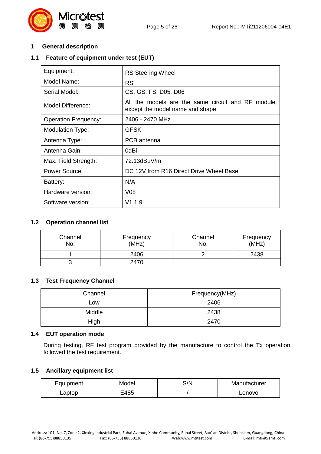<span id="page-4-0"></span>

#### <span id="page-4-1"></span>**1.1 Feature of equipment under test (EUT)**

测

| Equipment:                  | <b>RS Steering Wheel</b>                                                               |
|-----------------------------|----------------------------------------------------------------------------------------|
| Model Name:                 | RS                                                                                     |
| Serial Model:               | CS, GS, FS, D05, D06                                                                   |
| Model Difference:           | All the models are the same circuit and RF module,<br>except the model name and shape. |
| <b>Operation Frequency:</b> | 2406 - 2470 MHz                                                                        |
| <b>Modulation Type:</b>     | <b>GFSK</b>                                                                            |
| Antenna Type:               | PCB antenna                                                                            |
| Antenna Gain:               | 0dBi                                                                                   |
| Max. Field Strength:        | 72.13dBuV/m                                                                            |
| <b>Power Source:</b>        | DC 12V from R16 Direct Drive Wheel Base                                                |
| Battery:                    | N/A                                                                                    |
| Hardware version:           | V <sub>08</sub>                                                                        |
| Software version:           | V1.1.9                                                                                 |

#### <span id="page-4-2"></span>**1.2 Operation channel list**

| Channel<br>No. | Frequency<br>(MHz) | Channel<br>No. | Frequency<br>(MHz) |
|----------------|--------------------|----------------|--------------------|
|                | 2406               |                | 2438               |
| u              | 2470               |                |                    |

#### <span id="page-4-3"></span>**1.3 Test Frequency Channel**

| Channel | Frequency(MHz) |
|---------|----------------|
| Low     | 2406           |
| Middle  | 2438           |
| High    | 2470           |

#### <span id="page-4-4"></span>**1.4 EUT operation mode**

During testing, RF test program provided by the manufacture to control the Tx operation followed the test requirement.

#### <span id="page-4-5"></span>**1.5 Ancillary equipment list**

| Equipment | Model | S/N | Manufacturer |
|-----------|-------|-----|--------------|
| $L$ aptop | E485  |     | Lenovo       |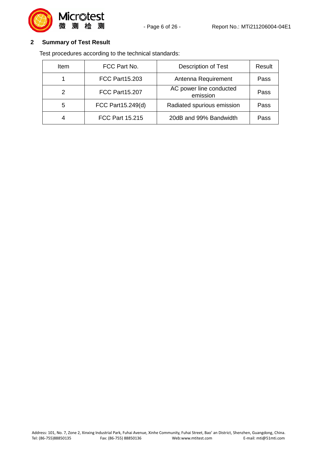



#### <span id="page-5-0"></span>**2 Summary of Test Result**

Test procedures according to the technical standards:

| Item          | FCC Part No.           | <b>Description of Test</b>          | Result |
|---------------|------------------------|-------------------------------------|--------|
|               | <b>FCC Part15.203</b>  | Antenna Requirement                 | Pass   |
| $\mathcal{P}$ | <b>FCC Part15.207</b>  | AC power line conducted<br>emission | Pass   |
| 5             | FCC Part15.249(d)      | Radiated spurious emission          | Pass   |
| 4             | <b>FCC Part 15.215</b> | 20dB and 99% Bandwidth              | Pass   |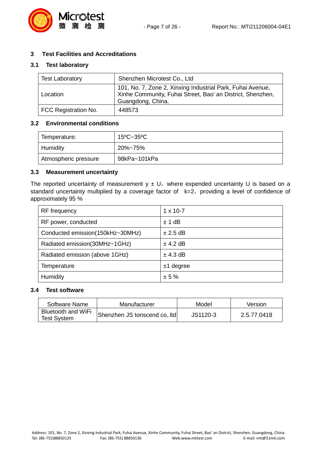

#### <span id="page-6-0"></span>**3 Test Facilities and Accreditations**

#### **3.1 Test laboratory**

<span id="page-6-1"></span>

| <b>Test Laboratory</b> | Shenzhen Microtest Co., Ltd                                                                                                                   |
|------------------------|-----------------------------------------------------------------------------------------------------------------------------------------------|
| Location               | 101, No. 7, Zone 2, Xinxing Industrial Park, Fuhai Avenue,<br>Xinhe Community, Fuhai Street, Bao' an District, Shenzhen,<br>Guangdong, China. |
| FCC Registration No.   | 448573                                                                                                                                        |

#### <span id="page-6-2"></span>**3.2 Environmental conditions**

| Temperature:         | $15^{\circ}$ C $\sim$ 35 $^{\circ}$ C |
|----------------------|---------------------------------------|
| <b>Humidity</b>      | 20%~75%                               |
| Atmospheric pressure | 98kPa~101kPa                          |

#### <span id="page-6-3"></span>**3.3 Measurement uncertainty**

The reported uncertainty of measurement  $y \pm U$ , where expended uncertainty U is based on a standard uncertainty multiplied by a coverage factor of  $k=2$ , providing a level of confidence of approximately 95 %

| <b>RF</b> frequency              | $1 \times 10 - 7$ |
|----------------------------------|-------------------|
| RF power, conducted              | ± 1 dB            |
| Conducted emission(150kHz~30MHz) | $± 2.5$ dB        |
| Radiated emission(30MHz~1GHz)    | $±$ 4.2 dB        |
| Radiated emission (above 1GHz)   | $±$ 4.3 dB        |
| Temperature                      | $±1$ degree       |
| Humidity                         | ± 5%              |

#### <span id="page-6-4"></span>**3.4 Test software**

| Software Name                                   | Manufacturer                 | Model    | Version     |
|-------------------------------------------------|------------------------------|----------|-------------|
| <b>Bluetooth and WiFi</b><br><b>Test System</b> | Shenzhen JS tonscend co, Itd | JS1120-3 | 2.5.77.0418 |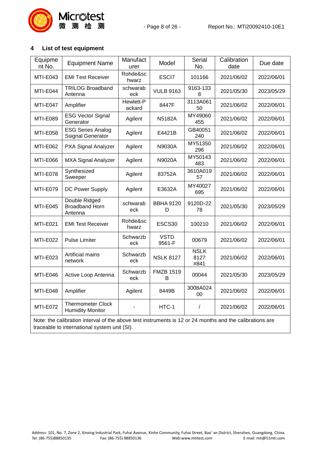

#### <span id="page-7-0"></span>**4 List of test equipment**

| Equipme<br>nt No. | <b>Equipment Name</b>                                                                                                                                    | Manufact<br>urer    | Model                 | Serial<br>No.               | Calibration<br>date | Due date   |
|-------------------|----------------------------------------------------------------------------------------------------------------------------------------------------------|---------------------|-----------------------|-----------------------------|---------------------|------------|
| MTI-E043          | <b>EMI Test Receiver</b>                                                                                                                                 | Rohde≻<br>hwarz     | ESCI7                 | 101166                      | 2021/06/02          | 2022/06/01 |
| MTI-E044          | <b>TRILOG Broadband</b><br>Antenna                                                                                                                       | schwarab<br>eck     | <b>VULB 9163</b>      | 9163-133<br>8               | 2021/05/30          | 2023/05/29 |
| MTI-E047          | Amplifier                                                                                                                                                | Hewlett-P<br>ackard | 8447F                 | 3113A061<br>50              | 2021/06/02          | 2022/06/01 |
| <b>MTI-E089</b>   | <b>ESG Vector Signal</b><br>Generator                                                                                                                    | Agilent             | <b>N5182A</b>         | MY49060<br>455              | 2021/06/02          | 2022/06/01 |
| MTI-E058          | <b>ESG Series Analog</b><br><b>Ssignal Generator</b>                                                                                                     | Agilent             | E4421B                | GB40051<br>240              | 2021/06/02          | 2022/06/01 |
| MTI-E062          | PXA Signal Analyzer                                                                                                                                      | Agilent             | N9030A                | MY51350<br>296              | 2021/06/02          | 2022/06/01 |
| <b>MTI-E066</b>   | <b>MXA Signal Analyzer</b>                                                                                                                               | Agilent             | N9020A                | MY50143<br>483              | 2021/06/02          | 2022/06/01 |
| MTI-E078          | Synthesized<br>Sweeper                                                                                                                                   | Agilent             | 83752A                | 3610A019<br>57              | 2021/06/02          | 2022/06/01 |
| MTI-E079          | DC Power Supply                                                                                                                                          | Agilent             | E3632A                | MY40027<br>695              | 2021/06/02          | 2022/06/01 |
| MTI-E045          | Double Ridged<br><b>Broadband Horn</b><br>Antenna                                                                                                        | schwarab<br>eck     | <b>BBHA 9120</b><br>D | 9120D-22<br>78              | 2021/05/30          | 2023/05/29 |
| MTI-E021          | <b>EMI Test Receiver</b>                                                                                                                                 | Rohde≻<br>hwarz     | ESCS30                | 100210                      | 2021/06/02          | 2022/06/01 |
| MTI-E022          | <b>Pulse Limiter</b>                                                                                                                                     | Schwarzb<br>eck     | <b>VSTD</b><br>9561-F | 00679                       | 2021/06/02          | 2022/06/01 |
| <b>MTI-E023</b>   | Artificial mains<br>network                                                                                                                              | Schwarzb<br>eck     | <b>NSLK 8127</b>      | <b>NSLK</b><br>8127<br>#841 | 2021/06/02          | 2022/06/01 |
| MTI-E046          | Active Loop Antenna                                                                                                                                      | Schwarzb<br>eck     | <b>FMZB 1519</b><br>B | 00044                       | 2021/05/30          | 2023/05/29 |
| MTI-E048          | Amplifier                                                                                                                                                | Agilent             | 8449B                 | 3008A024<br>00              | 2021/06/02          | 2022/06/01 |
| MTI-E072          | <b>Thermometer Clock</b><br><b>Humidity Monitor</b>                                                                                                      |                     | HTC-1                 | $\prime$                    | 2021/06/02          | 2022/06/01 |
|                   | Note: the calibration interval of the above test instruments is 12 or 24 months and the calibrations are<br>traceable to international system unit (SI). |                     |                       |                             |                     |            |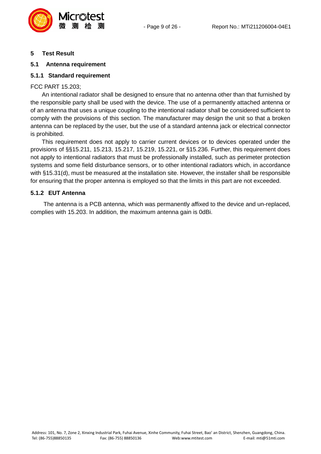

#### <span id="page-8-0"></span>**5 Test Result**

#### <span id="page-8-1"></span>**5.1 Antenna requirement**

#### <span id="page-8-2"></span>**5.1.1 Standard requirement**

#### FCC PART 15.203;

An intentional radiator shall be designed to ensure that no antenna other than that furnished by the responsible party shall be used with the device. The use of a permanently attached antenna or of an antenna that uses a unique coupling to the intentional radiator shall be considered sufficient to comply with the provisions of this section. The manufacturer may design the unit so that a broken antenna can be replaced by the user, but the use of a standard antenna jack or electrical connector is prohibited.

This requirement does not apply to carrier current devices or to devices operated under the provisions of §§15.211, 15.213, 15.217, 15.219, 15.221, or §15.236. Further, this requirement does not apply to intentional radiators that must be professionally installed, such as perimeter protection systems and some field disturbance sensors, or to other intentional radiators which, in accordance with §15.31(d), must be measured at the installation site. However, the installer shall be responsible for ensuring that the proper antenna is employed so that the limits in this part are not exceeded.

#### <span id="page-8-3"></span>**5.1.2 EUT Antenna**

The antenna is a PCB antenna, which was permanently affixed to the device and un-replaced, complies with 15.203. In addition, the maximum antenna gain is 0dBi.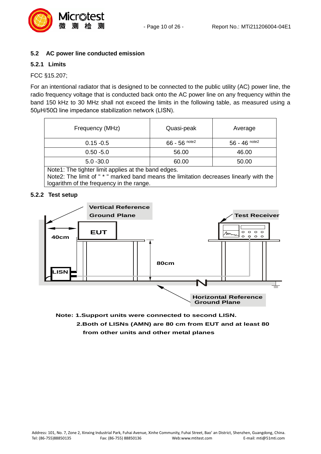



#### <span id="page-9-0"></span>**5.2 AC power line conducted emission**

#### <span id="page-9-1"></span>**5.2.1 Limits**

#### FCC §15.207;

For an intentional radiator that is designed to be connected to the public utility (AC) power line, the radio frequency voltage that is conducted back onto the AC power line on any frequency within the band 150 kHz to 30 MHz shall not exceed the limits in the following table, as measured using a 50µH/50Ω line impedance stabilization network (LISN).

| Frequency (MHz)                                    | Quasi-peak      | Average                    |
|----------------------------------------------------|-----------------|----------------------------|
| $0.15 - 0.5$                                       | $66 - 56$ note2 | $56 - 46$ <sup>note2</sup> |
| $0.50 - 5.0$                                       | 56.00           | 46.00                      |
| $5.0 - 30.0$                                       | 60.00           | 50.00                      |
| Noted: The tighter limit applies of the bond edges |                 |                            |

Note1: The tighter limit applies at the band edges. Note2: The limit of " \* " marked band means the limitation decreases linearly with the logarithm of the frequency in the range.

#### <span id="page-9-2"></span>**5.2.2 Test setup**



**Note: 1.Support units were connected to second LISN.**

 **2.Both of LISNs (AMN) are 80 cm from EUT and at least 80 from other units and other metal planes**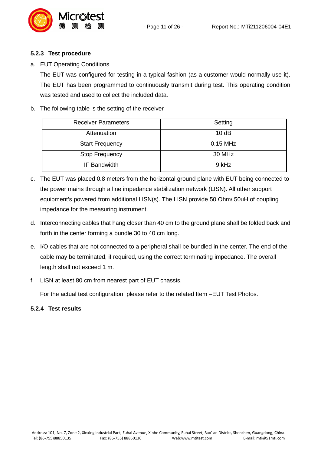

#### <span id="page-10-0"></span>**5.2.3 Test procedure**

#### a. EUT Operating Conditions

The EUT was configured for testing in a typical fashion (as a customer would normally use it). The EUT has been programmed to continuously transmit during test. This operating condition was tested and used to collect the included data.

#### b. The following table is the setting of the receiver

| <b>Receiver Parameters</b> | Setting    |
|----------------------------|------------|
| Attenuation                | 10dB       |
| <b>Start Frequency</b>     | $0.15$ MHz |
| <b>Stop Frequency</b>      | 30 MHz     |
| <b>IF Bandwidth</b>        | 9 kHz      |

- c. The EUT was placed 0.8 meters from the horizontal ground plane with EUT being connected to the power mains through a line impedance stabilization network (LISN). All other support equipment's powered from additional LISN(s). The LISN provide 50 Ohm/ 50uH of coupling impedance for the measuring instrument.
- d. Interconnecting cables that hang closer than 40 cm to the ground plane shall be folded back and forth in the center forming a bundle 30 to 40 cm long.
- e. I/O cables that are not connected to a peripheral shall be bundled in the center. The end of the cable may be terminated, if required, using the correct terminating impedance. The overall length shall not exceed 1 m.
- f. LISN at least 80 cm from nearest part of EUT chassis.

For the actual test configuration, please refer to the related Item –EUT Test Photos.

#### <span id="page-10-1"></span>**5.2.4 Test results**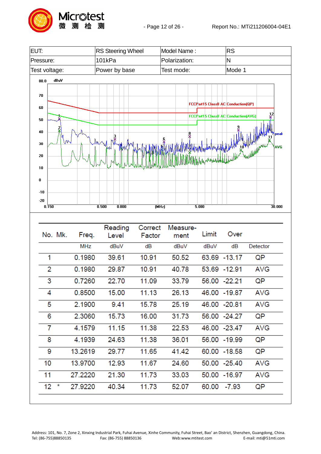



| No. Mk. | Freq.      | Reading<br>Level | Correct<br>Factor | Measure-<br>ment | Limit | Over          |                 |
|---------|------------|------------------|-------------------|------------------|-------|---------------|-----------------|
|         | <b>MHz</b> | dBuV             | dB                | dBuV             | dBuV  | dB            | <b>Detector</b> |
| 1       | 0.1980     | 39.61            | 10.91             | 50.52            |       | 63.69 - 13.17 | QP              |
| 2       | 0.1980     | 29.87            | 10.91             | 40.78            |       | 53.69 - 12.91 | AVG             |
| 3       | 0.7260     | 22.70            | 11.09             | 33.79            |       | 56.00 -22.21  | QP              |
| 4       | 0.8500     | 15.00            | 11.13             | 26.13            |       | 46.00 -19.87  | <b>AVG</b>      |
| 5       | 2.1900     | 9.41             | 15.78             | 25.19            |       | 46.00 -20.81  | <b>AVG</b>      |
| 6       | 2.3060     | 15.73            | 16.00             | 31.73            |       | 56.00 -24.27  | QP              |
| 7       | 4.1579     | 11.15            | 11.38             | 22.53            |       | 46.00 -23.47  | <b>AVG</b>      |
| 8       | 4.1939     | 24.63            | 11.38             | 36.01            |       | 56.00 -19.99  | QP              |
| 9       | 13.2619    | 29.77            | 11.65             | 41.42            |       | 60.00 -18.58  | QP              |
| 10      | 13.9700    | 12.93            | 11.67             | 24.60            |       | 50.00 -25.40  | <b>AVG</b>      |
| 11      | 27.2220    | 21.30            | 11.73             | 33.03            |       | 50.00 -16.97  | <b>AVG</b>      |
| $12 *$  | 27.9220    | 40.34            | 11.73             | 52.07            |       | 60.00 -7.93   | QP              |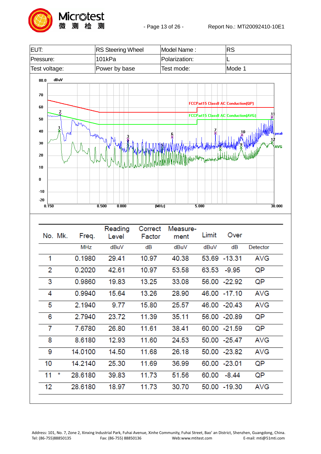



|    | No. Mk. | Freq.      | Reading<br>Level | Correct<br>Factor | Measure-<br>ment | Limit | Over          |                 |
|----|---------|------------|------------------|-------------------|------------------|-------|---------------|-----------------|
|    |         | <b>MHz</b> | dBuV             | dB                | dBuV             | dBuV  | dB            | <b>Detector</b> |
| 1  |         | 0.1980     | 29.41            | 10.97             | 40.38            |       | 53.69 - 13.31 | AVG             |
| 2  |         | 0.2020     | 42.61            | 10.97             | 53.58            |       | 63.53 -9.95   | QP              |
| 3  |         | 0.9860     | 19.83            | 13.25             | 33.08            |       | 56.00 -22.92  | QP              |
| 4  |         | 0.9940     | 15.64            | 13.26             | 28.90            |       | 46.00 -17.10  | <b>AVG</b>      |
| 5  |         | 2.1940     | 9.77             | 15.80             | 25.57            |       | 46.00 -20.43  | <b>AVG</b>      |
| 6  |         | 2.7940     | 23.72            | 11.39             | 35.11            |       | 56.00 -20.89  | QP              |
| 7  |         | 7.6780     | 26.80            | 11.61             | 38.41            |       | 60.00 -21.59  | QP              |
| 8  |         | 8.6180     | 12.93            | 11.60             | 24.53            |       | 50.00 -25.47  | <b>AVG</b>      |
| 9  |         | 14.0100    | 14.50            | 11.68             | 26.18            |       | 50.00 -23.82  | <b>AVG</b>      |
| 10 |         | 14.2140    | 25.30            | 11.69             | 36.99            |       | 60.00 -23.01  | QP              |
| 11 | $\star$ | 28.6180    | 39.83            | 11.73             | 51.56            | 60.00 | $-8.44$       | QP              |
| 12 |         | 28.6180    | 18.97            | 11.73             | 30.70            |       | 50.00 -19.30  | AVG             |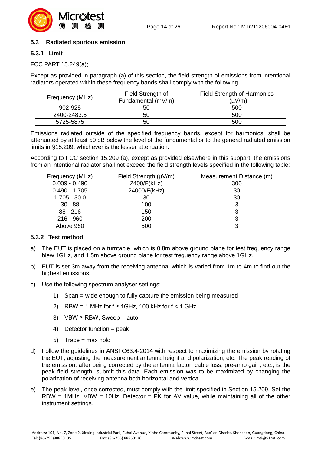

#### <span id="page-13-0"></span>**5.3 Radiated spurious emission**

#### <span id="page-13-1"></span>**5.3.1 Limit**

#### FCC PART 15.249(a);

Except as provided in paragraph (a) of this section, the field strength of emissions from intentional radiators operated within these frequency bands shall comply with the following:

| Frequency (MHz) | Field Strength of<br>Fundamental (mV/m) | Field Strength of Harmonics<br>(uV/m) |
|-----------------|-----------------------------------------|---------------------------------------|
| 902-928         | 50                                      | 500                                   |
| 2400-2483.5     | 50                                      | 500                                   |
| 5725-5875       | 50                                      | 500                                   |

Emissions radiated outside of the specified frequency bands, except for harmonics, shall be attenuated by at least 50 dB below the level of the fundamental or to the general radiated emission limits in §15.209, whichever is the lesser attenuation.

According to FCC section 15.209 (a), except as provided elsewhere in this subpart, the emissions from an intentional radiator shall not exceed the field strength levels specified in the following table:

| Frequency (MHz) | Field Strength (µV/m) | Measurement Distance (m) |
|-----------------|-----------------------|--------------------------|
| $0.009 - 0.490$ | 2400/F(kHz)           | 300                      |
| $0.490 - 1.705$ | 24000/F(kHz)          | 30                       |
| $1.705 - 30.0$  | 30                    | 30                       |
| $30 - 88$       | 100                   |                          |
| $88 - 216$      | 150                   |                          |
| $216 - 960$     | 200                   |                          |
| Above 960       | 500                   |                          |

#### <span id="page-13-2"></span>**5.3.2 Test method**

- a) The EUT is placed on a turntable, which is 0.8m above ground plane for test frequency range blew 1GHz, and 1.5m above ground plane for test frequency range above 1GHz.
- b) EUT is set 3m away from the receiving antenna, which is varied from 1m to 4m to find out the highest emissions.
- c) Use the following spectrum analyser settings:
	- 1) Span = wide enough to fully capture the emission being measured
	- 2) RBW = 1 MHz for  $f \ge 1$  GHz, 100 kHz for  $f < 1$  GHz
	- 3) VBW  $\geq$  RBW, Sweep = auto
	- 4) Detector function = peak
	- 5) Trace = max hold
- d) Follow the guidelines in ANSI C63.4-2014 with respect to maximizing the emission by rotating the EUT, adjusting the measurement antenna height and polarization, etc. The peak reading of the emission, after being corrected by the antenna factor, cable loss, pre-amp gain, etc., is the peak field strength, submit this data. Each emission was to be maximized by changing the polarization of receiving antenna both horizontal and vertical.
- e) The peak level, once corrected, must comply with the limit specified in Section 15.209. Set the RBW = 1MHz, VBW = 10Hz, Detector = PK for AV value, while maintaining all of the other instrument settings.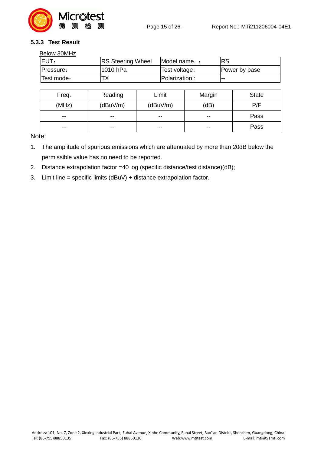

#### <span id="page-14-0"></span>**5.3.3 Test Result**

#### Below 30MHz

| <b>IEUT:</b> | RS Steering Wheel | Model name. :         | IRS           |
|--------------|-------------------|-----------------------|---------------|
| Pressure:    | 1010 hPa          | Test voltage:         | Power by base |
| Test mode:   | гх                | <b>IPolarization:</b> | .             |

| Freq. | Reading  | Limit    | Margin | <b>State</b> |
|-------|----------|----------|--------|--------------|
| (MHz) | (dBuV/m) | (dBuV/m) | (dB)   | P/F          |
| $- -$ | $- -$    | $- -$    | $- -$  | Pass         |
| $- -$ | $- -$    | $- -$    | $- -$  | Pass         |

Note:

- 1. The amplitude of spurious emissions which are attenuated by more than 20dB below the permissible value has no need to be reported.
- 2. Distance extrapolation factor =40 log (specific distance/test distance)(dB);
- 3. Limit line = specific limits (dBuV) + distance extrapolation factor.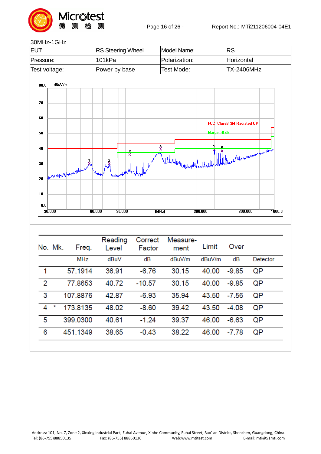

#### 30MHz-1GHz

| EUT:           |                                 |                |                |                             | <b>RS Steering Wheel</b><br>Model Name: |                              |         | <b>RS</b>                                 |                   |        |
|----------------|---------------------------------|----------------|----------------|-----------------------------|-----------------------------------------|------------------------------|---------|-------------------------------------------|-------------------|--------|
| Pressure:      |                                 |                | 101kPa         |                             |                                         | Polarization:                |         |                                           | Horizontal        |        |
| Test voltage:  |                                 |                |                | Test Mode:<br>Power by base |                                         |                              |         |                                           | <b>TX-2406MHz</b> |        |
| 80.0           | dBuV/m                          |                |                |                             |                                         |                              |         |                                           |                   |        |
| 70             |                                 |                |                |                             |                                         |                              |         |                                           |                   |        |
| 60             |                                 |                |                |                             |                                         |                              |         |                                           |                   |        |
| 50             |                                 |                |                |                             |                                         |                              |         | FCC ClassB 3M Radiated QP<br>Margin -6 dB |                   |        |
| 40             |                                 |                |                |                             |                                         |                              |         |                                           |                   |        |
| 30             |                                 |                | $\overline{x}$ |                             |                                         | <u>\ddddddadadadahahhhhh</u> |         | With about where we make                  |                   |        |
| 20             | Antonikarapanyakonomentalpehint |                |                | 444444444                   |                                         |                              |         |                                           |                   |        |
| 10             |                                 |                |                |                             |                                         |                              |         |                                           |                   |        |
| 0.0            |                                 |                |                |                             |                                         |                              |         |                                           |                   |        |
| 30.000         |                                 |                | 60.000         | 90.000                      |                                         | (MHz)                        | 300.000 | 600.000                                   |                   | 1000.0 |
|                |                                 |                |                |                             |                                         |                              |         |                                           |                   |        |
|                | No. Mk.                         | Freq.          |                | Reading<br>Level            | Correct<br>Factor                       | Measure-<br>ment             | Limit   | Over                                      |                   |        |
|                |                                 | <b>MHz</b>     |                | dBuV                        | dB                                      | dBuV/m                       | dBuV/m  | dB                                        | Detector          |        |
| 1              |                                 | 57.1914        |                | 36.91                       | $-6.76$                                 | 30.15                        | 40.00   | $-9.85$                                   | QP                |        |
| 2              |                                 | 77.8653        |                | 40.72                       | $-10.57$                                | 30.15                        | 40.00   | $-9.85$                                   | QP                |        |
| 3              |                                 | 107.8876       |                | 42.87                       | -6.93                                   | 35.94                        |         | 43.50 -7.56                               | QP                |        |
| $\overline{4}$ | $\star$                         | 173.8135 48.02 |                |                             | -8.60                                   | 39.42                        | 43.50   | -4.08                                     | QP                |        |
| 5              |                                 | 399.0300       |                | 40.61<br>38.65              | $-1.24$                                 | 39.37<br>38.22               |         | 46.00 -6.63<br>46.00 -7.78                | QP<br>QP          |        |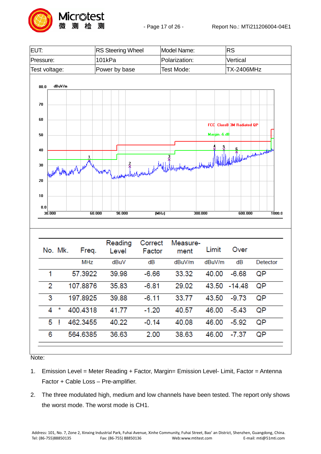



#### Note:

- 1. Emission Level = Meter Reading + Factor, Margin= Emission Level- Limit, Factor = Antenna Factor + Cable Loss – Pre-amplifier.
- 2. The three modulated high, medium and low channels have been tested. The report only shows the worst mode. The worst mode is CH1.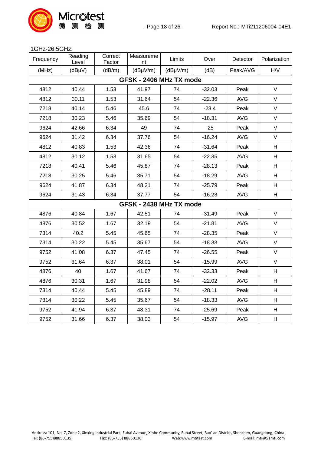

1GHz-26.5GHz:

| Frequency               | Reading<br>Level | Correct<br>Factor | Measureme<br>nt         | Limits        | Over     | Detector   | Polarization |  |  |  |  |
|-------------------------|------------------|-------------------|-------------------------|---------------|----------|------------|--------------|--|--|--|--|
| (MHz)                   | $(dB\mu V)$      | (dB/m)            | $(dB\mu V/m)$           | $(dB\mu V/m)$ | (dB)     | Peak/AVG   | H/V          |  |  |  |  |
| GFSK - 2406 MHz TX mode |                  |                   |                         |               |          |            |              |  |  |  |  |
| 4812                    | 40.44            | 1.53              | 41.97                   | 74            | $-32.03$ | Peak       | $\vee$       |  |  |  |  |
| 4812                    | 30.11            | 1.53              | 31.64                   | 54            | $-22.36$ | <b>AVG</b> | $\vee$       |  |  |  |  |
| 7218                    | 40.14            | 5.46              | 45.6                    | 74            | $-28.4$  | Peak       | V            |  |  |  |  |
| 7218                    | 30.23            | 5.46              | 35.69                   | 54            | $-18.31$ | <b>AVG</b> | $\vee$       |  |  |  |  |
| 9624                    | 42.66            | 6.34              | 49                      | 74            | $-25$    | Peak       | $\vee$       |  |  |  |  |
| 9624                    | 31.42            | 6.34              | 37.76                   | 54            | $-16.24$ | <b>AVG</b> | $\vee$       |  |  |  |  |
| 4812                    | 40.83            | 1.53              | 42.36                   | 74            | $-31.64$ | Peak       | H            |  |  |  |  |
| 4812                    | 30.12            | 1.53              | 31.65                   | 54            | $-22.35$ | <b>AVG</b> | H            |  |  |  |  |
| 7218                    | 40.41            | 5.46              | 45.87                   | 74            | $-28.13$ | Peak       | H            |  |  |  |  |
| 7218                    | 30.25            | 5.46              | 35.71                   | 54            | $-18.29$ | <b>AVG</b> | H            |  |  |  |  |
| 9624                    | 41.87            | 6.34              | 48.21                   | 74            | $-25.79$ | Peak       | H            |  |  |  |  |
| 9624                    | 31.43            | 6.34              | 37.77                   | 54            | $-16.23$ | <b>AVG</b> | H            |  |  |  |  |
|                         |                  |                   | GFSK - 2438 MHz TX mode |               |          |            |              |  |  |  |  |
| 4876                    | 40.84            | 1.67              | 42.51                   | 74            | $-31.49$ | Peak       | $\vee$       |  |  |  |  |
| 4876                    | 30.52            | 1.67              | 32.19                   | 54            | $-21.81$ | <b>AVG</b> | $\vee$       |  |  |  |  |
| 7314                    | 40.2             | 5.45              | 45.65                   | 74            | $-28.35$ | Peak       | V            |  |  |  |  |
| 7314                    | 30.22            | 5.45              | 35.67                   | 54            | $-18.33$ | <b>AVG</b> | $\vee$       |  |  |  |  |
| 9752                    | 41.08            | 6.37              | 47.45                   | 74            | $-26.55$ | Peak       | $\vee$       |  |  |  |  |
| 9752                    | 31.64            | 6.37              | 38.01                   | 54            | $-15.99$ | <b>AVG</b> | V            |  |  |  |  |
| 4876                    | 40               | 1.67              | 41.67                   | 74            | $-32.33$ | Peak       | H            |  |  |  |  |
| 4876                    | 30.31            | 1.67              | 31.98                   | 54            | $-22.02$ | <b>AVG</b> | H            |  |  |  |  |
| 7314                    | 40.44            | 5.45              | 45.89                   | 74            | $-28.11$ | Peak       | H            |  |  |  |  |
| 7314                    | 30.22            | 5.45              | 35.67                   | 54            | $-18.33$ | <b>AVG</b> | H            |  |  |  |  |
| 9752                    | 41.94            | 6.37              | 48.31                   | 74            | $-25.69$ | Peak       | H            |  |  |  |  |
| 9752                    | 31.66            | 6.37              | 38.03                   | 54            | $-15.97$ | <b>AVG</b> | H            |  |  |  |  |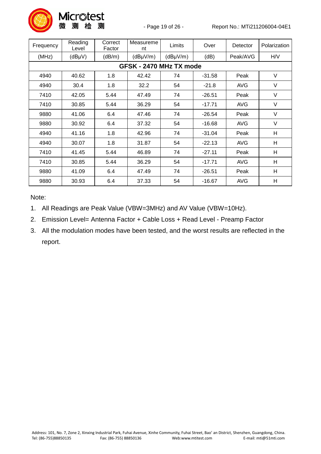

| Frequency               | Reading<br>Level | Correct<br>Factor | Measureme<br>nt | Limits   | Over     | Detector   | Polarization |  |  |  |  |
|-------------------------|------------------|-------------------|-----------------|----------|----------|------------|--------------|--|--|--|--|
| (MHz)                   | (dBµV)           | (dB/m)            | (dByV/m)        | (dByV/m) | (dB)     | Peak/AVG   | H/V          |  |  |  |  |
| GFSK - 2470 MHz TX mode |                  |                   |                 |          |          |            |              |  |  |  |  |
| 4940                    | 40.62            | 1.8               | 42.42           | 74       | $-31.58$ | Peak       | $\vee$       |  |  |  |  |
| 4940                    | 30.4             | 1.8               | 32.2            | 54       | $-21.8$  | <b>AVG</b> | V            |  |  |  |  |
| 7410                    | 42.05            | 5.44              | 47.49           | 74       | $-26.51$ | Peak       | V            |  |  |  |  |
| 7410                    | 30.85            | 5.44              | 36.29           | 54       | $-17.71$ | <b>AVG</b> | V            |  |  |  |  |
| 9880                    | 41.06            | 6.4               | 47.46           | 74       | $-26.54$ | Peak       | $\vee$       |  |  |  |  |
| 9880                    | 30.92            | 6.4               | 37.32           | 54       | $-16.68$ | <b>AVG</b> | $\vee$       |  |  |  |  |
| 4940                    | 41.16            | 1.8               | 42.96           | 74       | $-31.04$ | Peak       | H            |  |  |  |  |
| 4940                    | 30.07            | 1.8               | 31.87           | 54       | $-22.13$ | <b>AVG</b> | H            |  |  |  |  |
| 7410                    | 41.45            | 5.44              | 46.89           | 74       | $-27.11$ | Peak       | H            |  |  |  |  |
| 7410                    | 30.85            | 5.44              | 36.29           | 54       | $-17.71$ | <b>AVG</b> | Н            |  |  |  |  |
| 9880                    | 41.09            | 6.4               | 47.49           | 74       | $-26.51$ | Peak       | H            |  |  |  |  |
| 9880                    | 30.93            | 6.4               | 37.33           | 54       | $-16.67$ | <b>AVG</b> | H            |  |  |  |  |

Note:

- 1. All Readings are Peak Value (VBW=3MHz) and AV Value (VBW=10Hz).
- 2. Emission Level= Antenna Factor + Cable Loss + Read Level Preamp Factor
- 3. All the modulation modes have been tested, and the worst results are reflected in the report.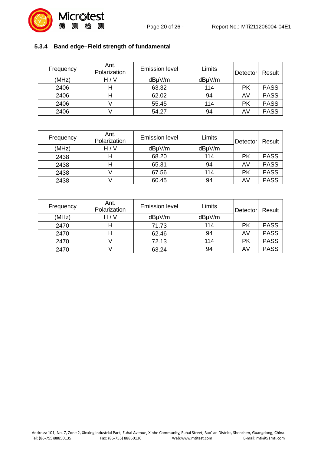

| Frequency | Ant.<br>Polarization | <b>Emission level</b> | Limits | Detector  | Result      |
|-----------|----------------------|-----------------------|--------|-----------|-------------|
| (MHz)     | H/V                  | dBµV/m                | dBµV/m |           |             |
| 2406      | н                    | 63.32                 | 114    | РK        | <b>PASS</b> |
| 2406      |                      | 62.02                 | 94     | AV        | <b>PASS</b> |
| 2406      |                      | 55.45                 | 114    | <b>PK</b> | <b>PASS</b> |
| 2406      |                      | 54.27                 | 94     | AV        | <b>PASS</b> |

#### <span id="page-19-0"></span>**5.3.4 Band edge–Field strength of fundamental**

| Frequency | Ant.<br>Polarization | <b>Emission level</b> | Limits | Detector | Result      |
|-----------|----------------------|-----------------------|--------|----------|-------------|
| (MHz)     | H / V                | dBµV/m                | dBµV/m |          |             |
| 2438      |                      | 68.20                 | 114    | РK       | <b>PASS</b> |
| 2438      |                      | 65.31                 | 94     | AV       | <b>PASS</b> |
| 2438      |                      | 67.56                 | 114    | РK       | <b>PASS</b> |
| 2438      |                      | 60.45                 | 94     | AV       | <b>PASS</b> |

| Frequency | Ant.<br>Polarization | <b>Emission level</b> | Limits | Detector | Result      |
|-----------|----------------------|-----------------------|--------|----------|-------------|
| (MHz)     | H/V                  | dBµV/m                | dBµV/m |          |             |
| 2470      |                      | 71.73                 | 114    | РK       | <b>PASS</b> |
| 2470      |                      | 62.46                 | 94     | AV       | <b>PASS</b> |
| 2470      |                      | 72.13                 | 114    | РK       | <b>PASS</b> |
| 2470      |                      | 63.24                 | 94     | AV       | <b>PASS</b> |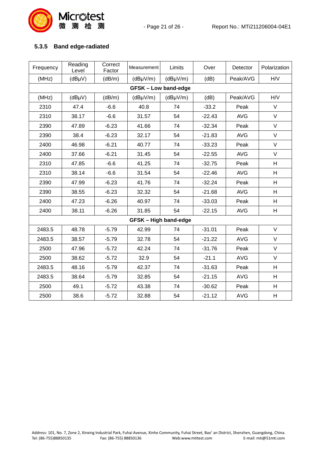



#### <span id="page-20-0"></span>**5.3.5 Band edge-radiated**

| Frequency | Reading<br>Level | Correct<br>Factor | Measurement                | Limits        | Over     | Detector   | Polarization |
|-----------|------------------|-------------------|----------------------------|---------------|----------|------------|--------------|
| (MHz)     | (dBµV)           | (dB/m)            | $(dB\mu V/m)$              | $(dB\mu V/m)$ | (dB)     | Peak/AVG   | H/V          |
|           |                  |                   | <b>GFSK-Low band-edge</b>  |               |          |            |              |
| (MHz)     | $(dB\mu V)$      | (dB/m)            | (dByV/m)                   | (dByV/m)      | (dB)     | Peak/AVG   | H/V          |
| 2310      | 47.4             | $-6.6$            | 40.8                       | 74            | $-33.2$  | Peak       | V            |
| 2310      | 38.17            | $-6.6$            | 31.57                      | 54            | $-22.43$ | <b>AVG</b> | $\vee$       |
| 2390      | 47.89            | $-6.23$           | 41.66                      | 74            | $-32.34$ | Peak       | $\vee$       |
| 2390      | 38.4             | $-6.23$           | 32.17                      | 54            | $-21.83$ | <b>AVG</b> | $\vee$       |
| 2400      | 46.98            | $-6.21$           | 40.77                      | 74            | $-33.23$ | Peak       | $\vee$       |
| 2400      | 37.66            | $-6.21$           | 31.45                      | 54            | $-22.55$ | <b>AVG</b> | V            |
| 2310      | 47.85            | $-6.6$            | 41.25                      | 74            | $-32.75$ | Peak       | H            |
| 2310      | 38.14            | $-6.6$            | 31.54                      | 54            | $-22.46$ | <b>AVG</b> | H            |
| 2390      | 47.99            | $-6.23$           | 41.76                      | 74            | $-32.24$ | Peak       | H            |
| 2390      | 38.55            | $-6.23$           | 32.32                      | 54            | $-21.68$ | <b>AVG</b> | H            |
| 2400      | 47.23            | $-6.26$           | 40.97                      | 74            | $-33.03$ | Peak       | H            |
| 2400      | 38.11            | $-6.26$           | 31.85                      | 54            | $-22.15$ | <b>AVG</b> | H            |
|           |                  |                   | <b>GFSK-High band-edge</b> |               |          |            |              |
| 2483.5    | 48.78            | $-5.79$           | 42.99                      | 74            | $-31.01$ | Peak       | $\vee$       |
| 2483.5    | 38.57            | $-5.79$           | 32.78                      | 54            | $-21.22$ | <b>AVG</b> | $\vee$       |
| 2500      | 47.96            | $-5.72$           | 42.24                      | 74            | $-31.76$ | Peak       | $\vee$       |
| 2500      | 38.62            | $-5.72$           | 32.9                       | 54            | $-21.1$  | <b>AVG</b> | $\vee$       |
| 2483.5    | 48.16            | $-5.79$           | 42.37                      | 74            | $-31.63$ | Peak       | H            |
| 2483.5    | 38.64            | $-5.79$           | 32.85                      | 54            | $-21.15$ | <b>AVG</b> | H            |
| 2500      | 49.1             | $-5.72$           | 43.38                      | 74            | $-30.62$ | Peak       | H            |
| 2500      | 38.6             | $-5.72$           | 32.88                      | 54            | $-21.12$ | <b>AVG</b> | H            |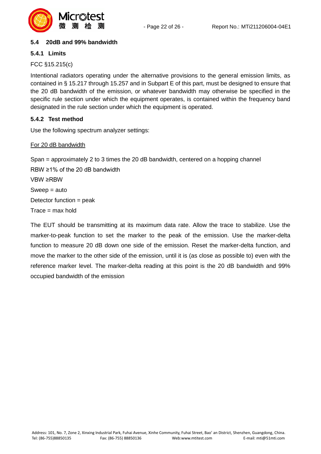

#### <span id="page-21-0"></span>**5.4 20dB and 99% bandwidth**

#### <span id="page-21-1"></span>**5.4.1 Limits**

FCC §15.215(c)

Intentional radiators operating under the alternative provisions to the general emission limits, as contained in § 15.217 through 15.257 and in Subpart E of this part, must be designed to ensure that the 20 dB bandwidth of the emission, or whatever bandwidth may otherwise be specified in the specific rule section under which the equipment operates, is contained within the frequency band designated in the rule section under which the equipment is operated.

#### <span id="page-21-2"></span>**5.4.2 Test method**

Use the following spectrum analyzer settings:

#### For 20 dB bandwidth

Span = approximately 2 to 3 times the 20 dB bandwidth, centered on a hopping channel RBW ≥1% of the 20 dB bandwidth VBW ≥RBW Sweep = auto Detector function = peak  $Trace = max$  hold

The EUT should be transmitting at its maximum data rate. Allow the trace to stabilize. Use the marker-to-peak function to set the marker to the peak of the emission. Use the marker-delta function to measure 20 dB down one side of the emission. Reset the marker-delta function, and move the marker to the other side of the emission, until it is (as close as possible to) even with the reference marker level. The marker-delta reading at this point is the 20 dB bandwidth and 99% occupied bandwidth of the emission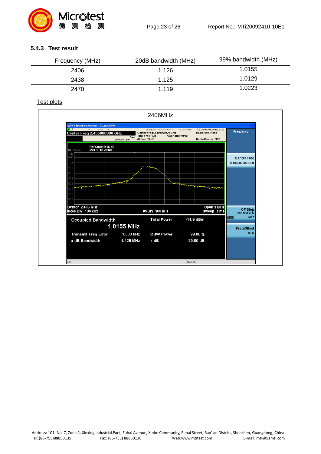

#### <span id="page-22-0"></span>**5.4.3 Test result**

| Frequency (MHz) | 20dB bandwidth (MHz) | 99% bandwidth (MHz) |
|-----------------|----------------------|---------------------|
| 2406            | 1.126                | 1.0155              |
| 2438            | 1.125                | 1.0129              |
| 2470            | 1.119                | 1.0223              |

#### **Test plots**

|                                                                                                                                                                                                                                                                                                                                                           |                        | 2406MHz                                                                                                      |                                                                                       |                                       |
|-----------------------------------------------------------------------------------------------------------------------------------------------------------------------------------------------------------------------------------------------------------------------------------------------------------------------------------------------------------|------------------------|--------------------------------------------------------------------------------------------------------------|---------------------------------------------------------------------------------------|---------------------------------------|
| Agilent Spectrum Analyzer - Occupied BW<br><b>W</b> RL<br>$RF$ 50 $\Omega$ AC<br>Center Freq 2.406000000 GHz<br>Ref Offset 9.16 dB<br>Ref 9.16 dBm<br>10 dB/div                                                                                                                                                                                           | Q<br>#IFGain:Low       | SENSE: INT SOURCE OFF<br>Center Freq: 2.406000000 GHz<br>Trig: Free Run<br>Avg Hold > 10/10<br>#Atten: 10 dB | ALIGN AUTO<br>05:28:02 PM Jan 19, 2022<br>Radio Std: None<br><b>Radio Device: BTS</b> | Frequency                             |
| Log<br>$-0.84$<br>$-10.8$                                                                                                                                                                                                                                                                                                                                 |                        |                                                                                                              |                                                                                       | <b>Center Freq</b><br>2.406000000 GHz |
| $-20B$<br>$-30.8$<br>$-40B$<br>$-50.8$<br>-norm<br>الأقامات<br>$-60.8$ revealed the second second second second second second second second second second second second second second second second second second second second second second second second second second second second seco<br>$-70.8$<br>$-80.8$<br>Center 2.406 GHz<br>#Res BW 100 kHz | a harry Y              | #VBW 300 kHz                                                                                                 | سودونا والمستحدثان<br>habammond hursberrid<br>Span 5 MHz<br>Sweep 1 ms                | <b>CF Step</b>                        |
| <b>Occupied Bandwidth</b>                                                                                                                                                                                                                                                                                                                                 | 1.0155 MHz             | <b>Total Power</b>                                                                                           | $-11.9$ dBm                                                                           | 500.000 kHz<br>Auto<br>Man            |
| <b>Transmit Freq Error</b><br>x dB Bandwidth                                                                                                                                                                                                                                                                                                              | 1.503 kHz<br>1.126 MHz | <b>OBW Power</b><br>$x$ dB                                                                                   | 99.00%<br>$-20.00$ dB                                                                 | <b>Freq Offset</b><br>$0$ Hz          |
| <b>MSG</b>                                                                                                                                                                                                                                                                                                                                                |                        |                                                                                                              | <b>STATUS</b>                                                                         |                                       |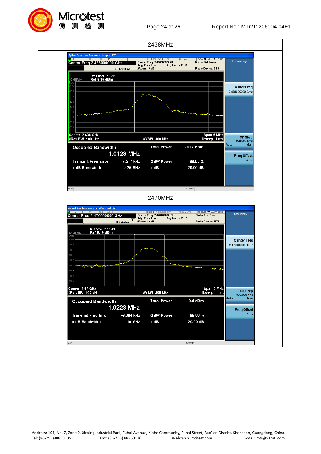

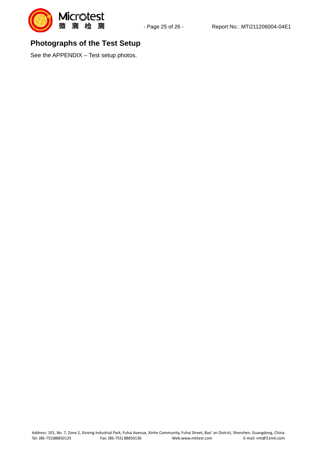

#### <span id="page-24-0"></span>**Photographs of the Test Setup**

See the APPENDIX – Test setup photos.